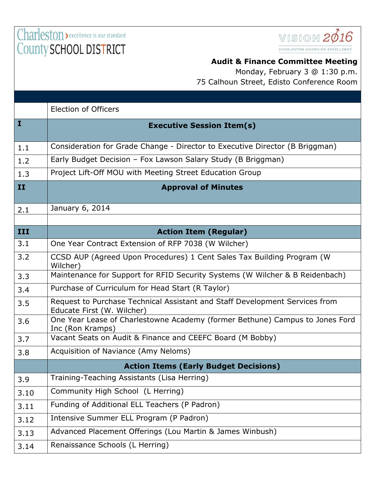Charleston > excellence is our standard County SCHOOL DISTRICT



## **Audit & Finance Committee Meeting**

Monday, February 3 @ 1:30 p.m. 75 Calhoun Street, Edisto Conference Room

|              | <b>Election of Officers</b>                                                                               |
|--------------|-----------------------------------------------------------------------------------------------------------|
| $\mathbf{I}$ | <b>Executive Session Item(s)</b>                                                                          |
| 1.1          | Consideration for Grade Change - Director to Executive Director (B Briggman)                              |
| 1.2          | Early Budget Decision - Fox Lawson Salary Study (B Briggman)                                              |
| 1.3          | Project Lift-Off MOU with Meeting Street Education Group                                                  |
| II           | <b>Approval of Minutes</b>                                                                                |
| 2.1          | January 6, 2014                                                                                           |
|              |                                                                                                           |
| III          | <b>Action Item (Regular)</b>                                                                              |
| 3.1          | One Year Contract Extension of RFP 7038 (W Wilcher)                                                       |
| 3.2          | CCSD AUP (Agreed Upon Procedures) 1 Cent Sales Tax Building Program (W)<br>Wilcher)                       |
| 3.3          | Maintenance for Support for RFID Security Systems (W Wilcher & B Reidenbach)                              |
| 3.4          | Purchase of Curriculum for Head Start (R Taylor)                                                          |
| 3.5          | Request to Purchase Technical Assistant and Staff Development Services from<br>Educate First (W. Wilcher) |
| 3.6          | One Year Lease of Charlestowne Academy (former Bethune) Campus to Jones Ford<br>Inc (Ron Kramps)          |
| 3.7          | Vacant Seats on Audit & Finance and CEEFC Board (M Bobby)                                                 |
| 3.8          | Acquisition of Naviance (Amy Neloms)                                                                      |
|              | <b>Action Items (Early Budget Decisions)</b>                                                              |
| 3.9          | Training-Teaching Assistants (Lisa Herring)                                                               |
| 3.10         | Community High School (L Herring)                                                                         |
| 3.11         | Funding of Additional ELL Teachers (P Padron)                                                             |
| 3.12         | Intensive Summer ELL Program (P Padron)                                                                   |
| 3.13         | Advanced Placement Offerings (Lou Martin & James Winbush)                                                 |
| 3.14         | Renaissance Schools (L Herring)                                                                           |